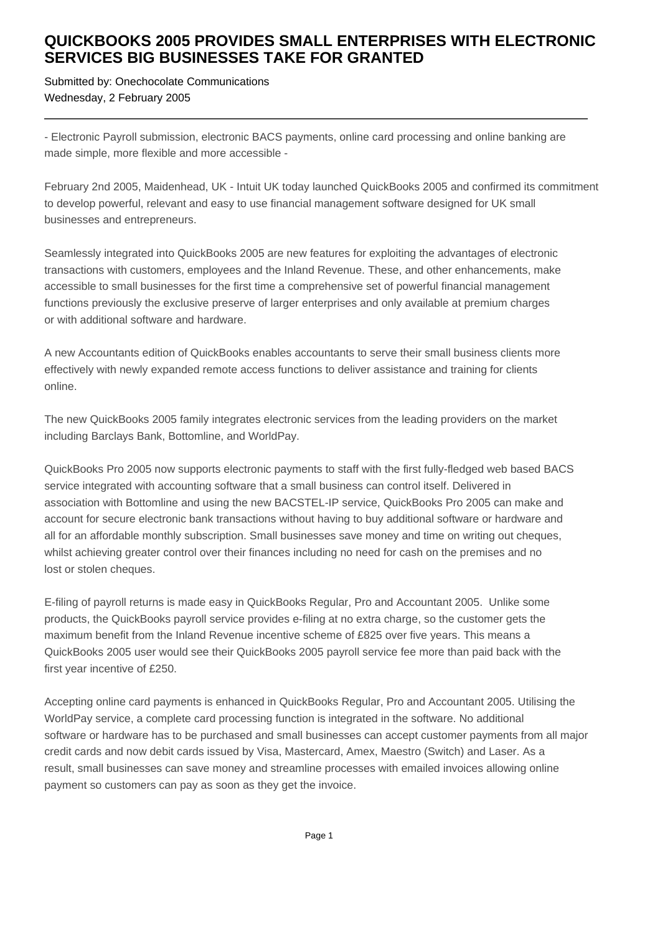## **QUICKBOOKS 2005 PROVIDES SMALL ENTERPRISES WITH ELECTRONIC SERVICES BIG BUSINESSES TAKE FOR GRANTED**

Submitted by: Onechocolate Communications Wednesday, 2 February 2005

- Electronic Payroll submission, electronic BACS payments, online card processing and online banking are made simple, more flexible and more accessible -

February 2nd 2005, Maidenhead, UK - Intuit UK today launched QuickBooks 2005 and confirmed its commitment to develop powerful, relevant and easy to use financial management software designed for UK small businesses and entrepreneurs.

Seamlessly integrated into QuickBooks 2005 are new features for exploiting the advantages of electronic transactions with customers, employees and the Inland Revenue. These, and other enhancements, make accessible to small businesses for the first time a comprehensive set of powerful financial management functions previously the exclusive preserve of larger enterprises and only available at premium charges or with additional software and hardware.

A new Accountants edition of QuickBooks enables accountants to serve their small business clients more effectively with newly expanded remote access functions to deliver assistance and training for clients online.

The new QuickBooks 2005 family integrates electronic services from the leading providers on the market including Barclays Bank, Bottomline, and WorldPay.

QuickBooks Pro 2005 now supports electronic payments to staff with the first fully-fledged web based BACS service integrated with accounting software that a small business can control itself. Delivered in association with Bottomline and using the new BACSTEL-IP service, QuickBooks Pro 2005 can make and account for secure electronic bank transactions without having to buy additional software or hardware and all for an affordable monthly subscription. Small businesses save money and time on writing out cheques, whilst achieving greater control over their finances including no need for cash on the premises and no lost or stolen cheques.

E-filing of payroll returns is made easy in QuickBooks Regular, Pro and Accountant 2005. Unlike some products, the QuickBooks payroll service provides e-filing at no extra charge, so the customer gets the maximum benefit from the Inland Revenue incentive scheme of £825 over five years. This means a QuickBooks 2005 user would see their QuickBooks 2005 payroll service fee more than paid back with the first year incentive of £250.

Accepting online card payments is enhanced in QuickBooks Regular, Pro and Accountant 2005. Utilising the WorldPay service, a complete card processing function is integrated in the software. No additional software or hardware has to be purchased and small businesses can accept customer payments from all major credit cards and now debit cards issued by Visa, Mastercard, Amex, Maestro (Switch) and Laser. As a result, small businesses can save money and streamline processes with emailed invoices allowing online payment so customers can pay as soon as they get the invoice.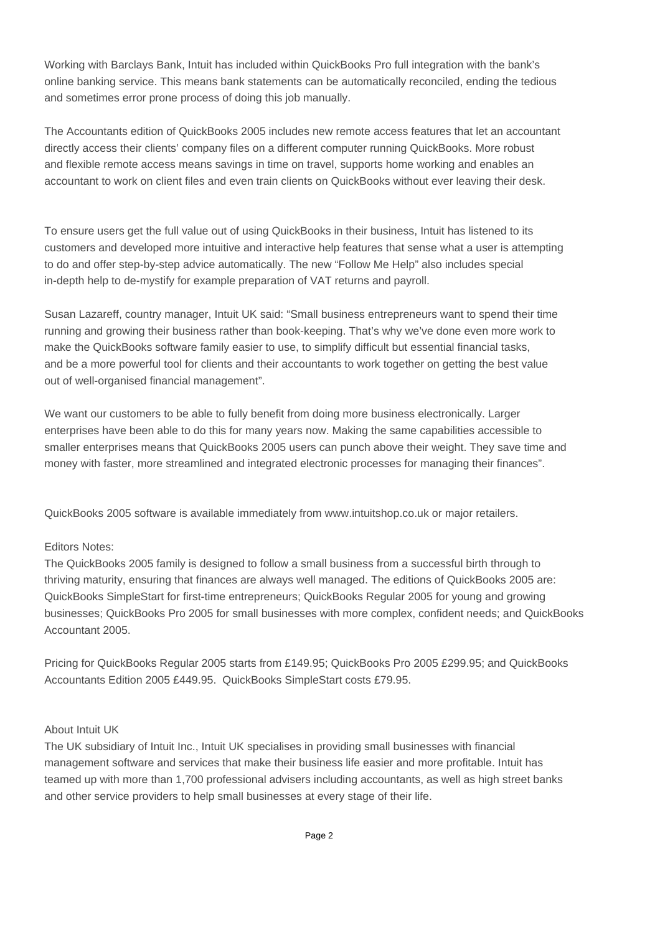Working with Barclays Bank, Intuit has included within QuickBooks Pro full integration with the bank's online banking service. This means bank statements can be automatically reconciled, ending the tedious and sometimes error prone process of doing this job manually.

The Accountants edition of QuickBooks 2005 includes new remote access features that let an accountant directly access their clients' company files on a different computer running QuickBooks. More robust and flexible remote access means savings in time on travel, supports home working and enables an accountant to work on client files and even train clients on QuickBooks without ever leaving their desk.

To ensure users get the full value out of using QuickBooks in their business, Intuit has listened to its customers and developed more intuitive and interactive help features that sense what a user is attempting to do and offer step-by-step advice automatically. The new "Follow Me Help" also includes special in-depth help to de-mystify for example preparation of VAT returns and payroll.

Susan Lazareff, country manager, Intuit UK said: "Small business entrepreneurs want to spend their time running and growing their business rather than book-keeping. That's why we've done even more work to make the QuickBooks software family easier to use, to simplify difficult but essential financial tasks, and be a more powerful tool for clients and their accountants to work together on getting the best value out of well-organised financial management".

We want our customers to be able to fully benefit from doing more business electronically. Larger enterprises have been able to do this for many years now. Making the same capabilities accessible to smaller enterprises means that QuickBooks 2005 users can punch above their weight. They save time and money with faster, more streamlined and integrated electronic processes for managing their finances".

QuickBooks 2005 software is available immediately from www.intuitshop.co.uk or major retailers.

## Editors Notes:

The QuickBooks 2005 family is designed to follow a small business from a successful birth through to thriving maturity, ensuring that finances are always well managed. The editions of QuickBooks 2005 are: QuickBooks SimpleStart for first-time entrepreneurs; QuickBooks Regular 2005 for young and growing businesses; QuickBooks Pro 2005 for small businesses with more complex, confident needs; and QuickBooks Accountant 2005.

Pricing for QuickBooks Regular 2005 starts from £149.95; QuickBooks Pro 2005 £299.95; and QuickBooks Accountants Edition 2005 £449.95. QuickBooks SimpleStart costs £79.95.

## About Intuit UK

The UK subsidiary of Intuit Inc., Intuit UK specialises in providing small businesses with financial management software and services that make their business life easier and more profitable. Intuit has teamed up with more than 1,700 professional advisers including accountants, as well as high street banks and other service providers to help small businesses at every stage of their life.